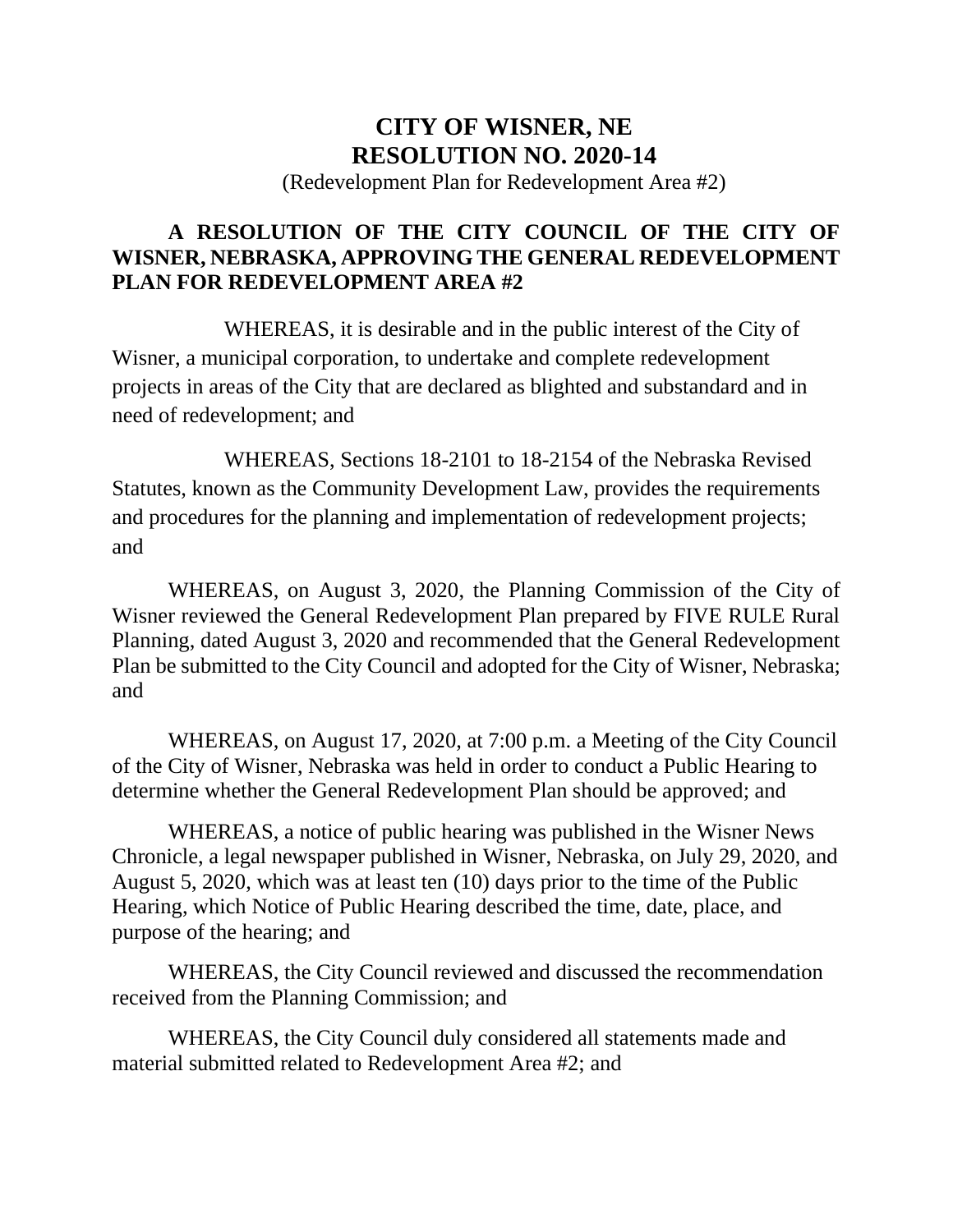## **CITY OF WISNER, NE RESOLUTION NO. 2020-14**

(Redevelopment Plan for Redevelopment Area #2)

## **A RESOLUTION OF THE CITY COUNCIL OF THE CITY OF WISNER, NEBRASKA, APPROVING THE GENERAL REDEVELOPMENT PLAN FOR REDEVELOPMENT AREA #2**

WHEREAS, it is desirable and in the public interest of the City of Wisner, a municipal corporation, to undertake and complete redevelopment projects in areas of the City that are declared as blighted and substandard and in need of redevelopment; and

WHEREAS, Sections 18-2101 to 18-2154 of the Nebraska Revised Statutes, known as the Community Development Law, provides the requirements and procedures for the planning and implementation of redevelopment projects; and

WHEREAS, on August 3, 2020, the Planning Commission of the City of Wisner reviewed the General Redevelopment Plan prepared by FIVE RULE Rural Planning, dated August 3, 2020 and recommended that the General Redevelopment Plan be submitted to the City Council and adopted for the City of Wisner, Nebraska; and

WHEREAS, on August 17, 2020, at 7:00 p.m. a Meeting of the City Council of the City of Wisner, Nebraska was held in order to conduct a Public Hearing to determine whether the General Redevelopment Plan should be approved; and

WHEREAS, a notice of public hearing was published in the Wisner News Chronicle, a legal newspaper published in Wisner, Nebraska, on July 29, 2020, and August 5, 2020, which was at least ten (10) days prior to the time of the Public Hearing, which Notice of Public Hearing described the time, date, place, and purpose of the hearing; and

WHEREAS, the City Council reviewed and discussed the recommendation received from the Planning Commission; and

WHEREAS, the City Council duly considered all statements made and material submitted related to Redevelopment Area #2; and